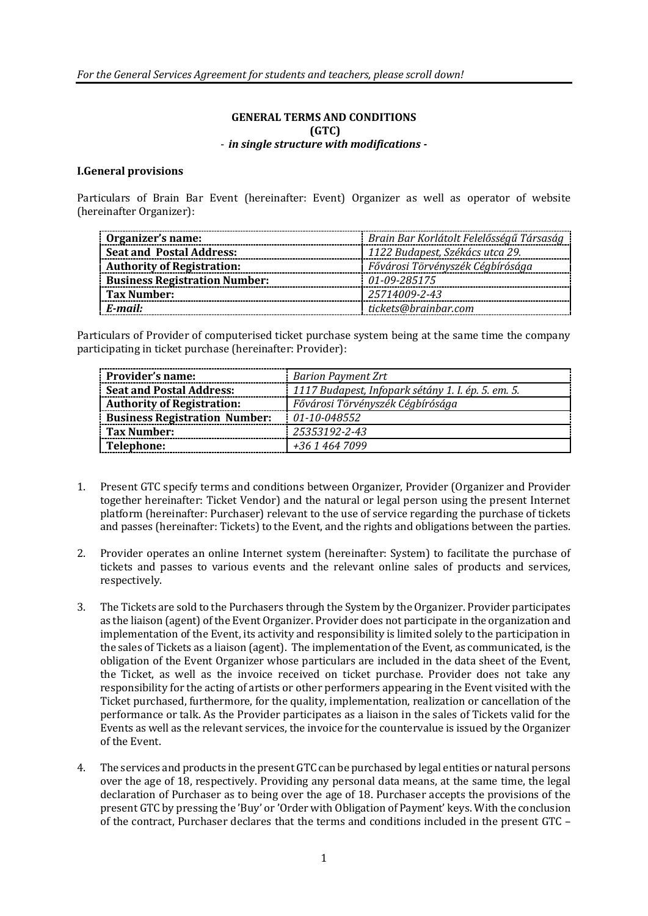### **GENERAL TERMS AND CONDITIONS (GTC)** - *in single structure with modifications -*

#### **I.General provisions**

Particulars of Brain Bar Event (hereinafter: Event) Organizer as well as operator of website (hereinafter Organizer):

| Organizer's name:                    | Brain Bar Korlátolt Felelősségű Társaság |
|--------------------------------------|------------------------------------------|
| <b>Seat and Postal Address:</b>      | 1122 Budapest, Székács utca 29.          |
| <b>Authority of Registration:</b>    | Fővárosi Törvényszék Cégbírósága         |
| <b>Business Registration Number:</b> | 01-09-285175                             |
| Tax Number:                          | 25714009-2-43                            |
| E-mail:                              | tickets@brainbar.com                     |
|                                      |                                          |

Particulars of Provider of computerised ticket purchase system being at the same time the company participating in ticket purchase (hereinafter: Provider):

| Provider's name:                     | <b>Barion Payment Zrt</b>                          |  |
|--------------------------------------|----------------------------------------------------|--|
| <b>Seat and Postal Address:</b>      | 1117 Budapest, Infopark sétány 1. I. ép. 5. em. 5. |  |
| <b>Authority of Registration:</b>    | Fővárosi Törvényszék Cégbírósága                   |  |
| <b>Business Registration Number:</b> | 01-10-048552                                       |  |
| Tax Number:                          | 25353192-2-43                                      |  |
| Telephone:                           | +36 1 464 7099                                     |  |

- 1. Present GTC specify terms and conditions between Organizer, Provider (Organizer and Provider together hereinafter: Ticket Vendor) and the natural or legal person using the present Internet platform (hereinafter: Purchaser) relevant to the use of service regarding the purchase of tickets and passes (hereinafter: Tickets) to the Event, and the rights and obligations between the parties.
- 2. Provider operates an online Internet system (hereinafter: System) to facilitate the purchase of tickets and passes to various events and the relevant online sales of products and services, respectively.
- 3. The Tickets are sold to the Purchasers through the System by the Organizer. Provider participates as the liaison (agent) of the Event Organizer. Provider does not participate in the organization and implementation of the Event, its activity and responsibility is limited solely to the participation in the sales of Tickets as a liaison (agent). The implementation of the Event, as communicated, is the obligation of the Event Organizer whose particulars are included in the data sheet of the Event, the Ticket, as well as the invoice received on ticket purchase. Provider does not take any responsibility for the acting of artists or other performers appearing in the Event visited with the Ticket purchased, furthermore, for the quality, implementation, realization or cancellation of the performance or talk. As the Provider participates as a liaison in the sales of Tickets valid for the Events as well as the relevant services, the invoice for the countervalue is issued by the Organizer of the Event.
- 4. The services and products in the present GTC can be purchased by legal entities or natural persons over the age of 18, respectively. Providing any personal data means, at the same time, the legal declaration of Purchaser as to being over the age of 18. Purchaser accepts the provisions of the present GTC by pressing the 'Buy' or 'Order with Obligation of Payment' keys. With the conclusion of the contract, Purchaser declares that the terms and conditions included in the present GTC –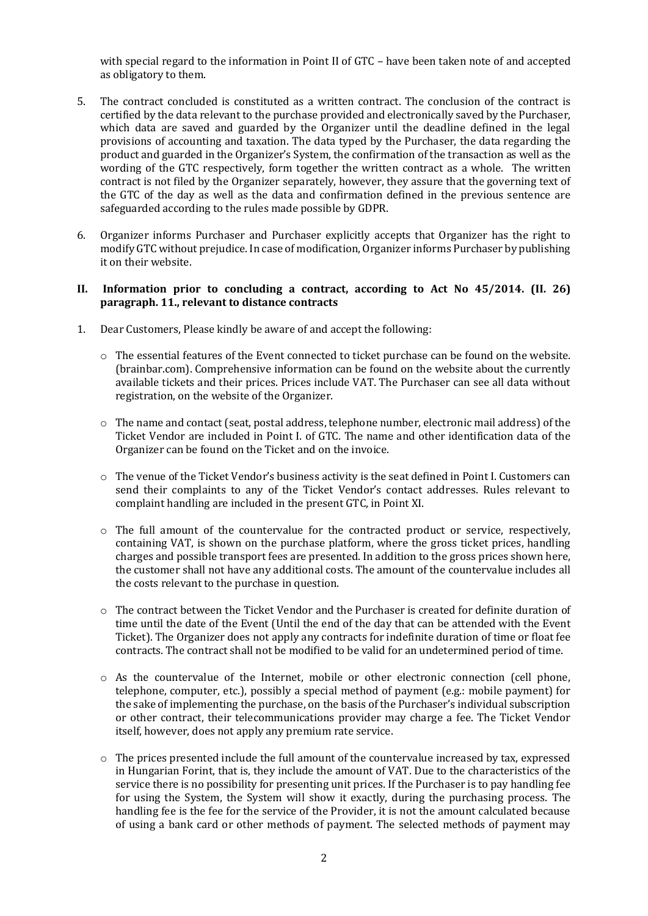with special regard to the information in Point II of GTC – have been taken note of and accepted as obligatory to them.

- 5. The contract concluded is constituted as a written contract. The conclusion of the contract is certified by the data relevant to the purchase provided and electronically saved by the Purchaser, which data are saved and guarded by the Organizer until the deadline defined in the legal provisions of accounting and taxation. The data typed by the Purchaser, the data regarding the product and guarded in the Organizer's System, the confirmation of the transaction as well as the wording of the GTC respectively, form together the written contract as a whole. The written contract is not filed by the Organizer separately, however, they assure that the governing text of the GTC of the day as well as the data and confirmation defined in the previous sentence are safeguarded according to the rules made possible by GDPR.
- 6. Organizer informs Purchaser and Purchaser explicitly accepts that Organizer has the right to modify GTC without prejudice. In case of modification, Organizer informs Purchaser by publishing it on their website.

#### **II. Information prior to concluding a contract, according to Act No 45/2014. (II. 26) paragraph. 11., relevant to distance contracts**

- 1. Dear Customers, Please kindly be aware of and accept the following:
	- o The essential features of the Event connected to ticket purchase can be found on the website. (brainbar.com). Comprehensive information can be found on the website about the currently available tickets and their prices. Prices include VAT. The Purchaser can see all data without registration, on the website of the Organizer.
	- o The name and contact (seat, postal address, telephone number, electronic mail address) of the Ticket Vendor are included in Point I. of GTC. The name and other identification data of the Organizer can be found on the Ticket and on the invoice.
	- $\circ$  The venue of the Ticket Vendor's business activity is the seat defined in Point I. Customers can send their complaints to any of the Ticket Vendor's contact addresses. Rules relevant to complaint handling are included in the present GTC, in Point XI.
	- $\circ$  The full amount of the countervalue for the contracted product or service, respectively, containing VAT, is shown on the purchase platform, where the gross ticket prices, handling charges and possible transport fees are presented. In addition to the gross prices shown here, the customer shall not have any additional costs. The amount of the countervalue includes all the costs relevant to the purchase in question.
	- $\circ$  The contract between the Ticket Vendor and the Purchaser is created for definite duration of time until the date of the Event (Until the end of the day that can be attended with the Event Ticket). The Organizer does not apply any contracts for indefinite duration of time or float fee contracts. The contract shall not be modified to be valid for an undetermined period of time.
	- $\circ$  As the countervalue of the Internet, mobile or other electronic connection (cell phone, telephone, computer, etc.), possibly a special method of payment (e.g.: mobile payment) for the sake of implementing the purchase, on the basis of the Purchaser's individual subscription or other contract, their telecommunications provider may charge a fee. The Ticket Vendor itself, however, does not apply any premium rate service.
	- o The prices presented include the full amount of the countervalue increased by tax, expressed in Hungarian Forint, that is, they include the amount of VAT. Due to the characteristics of the service there is no possibility for presenting unit prices. If the Purchaser is to pay handling fee for using the System, the System will show it exactly, during the purchasing process. The handling fee is the fee for the service of the Provider, it is not the amount calculated because of using a bank card or other methods of payment. The selected methods of payment may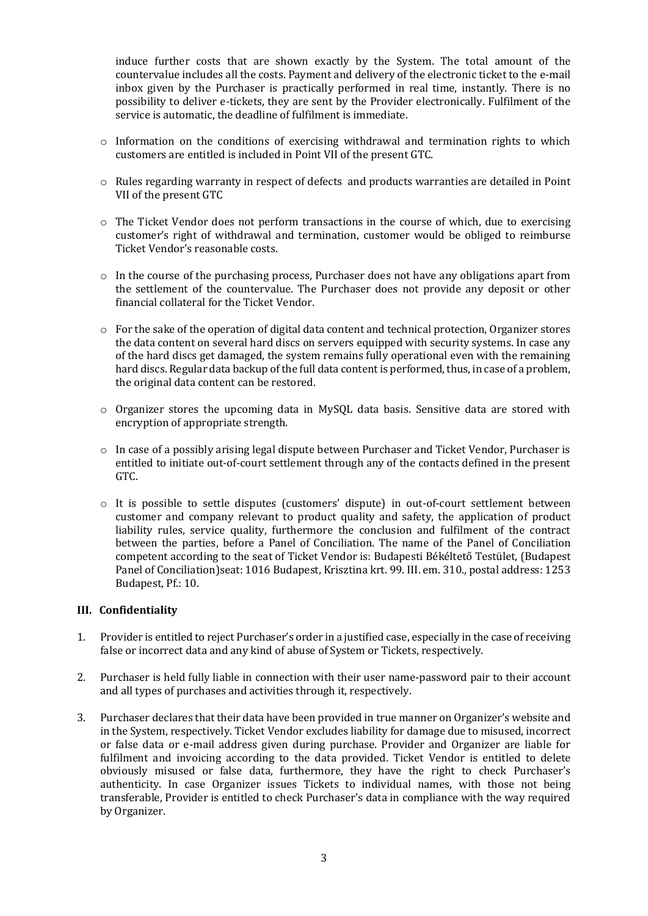induce further costs that are shown exactly by the System. The total amount of the countervalue includes all the costs. Payment and delivery of the electronic ticket to the e-mail inbox given by the Purchaser is practically performed in real time, instantly. There is no possibility to deliver e-tickets, they are sent by the Provider electronically. Fulfilment of the service is automatic, the deadline of fulfilment is immediate.

- o Information on the conditions of exercising withdrawal and termination rights to which customers are entitled is included in Point VII of the present GTC.
- $\circ$  Rules regarding warranty in respect of defects and products warranties are detailed in Point VII of the present GTC
- $\circ$  The Ticket Vendor does not perform transactions in the course of which, due to exercising customer's right of withdrawal and termination, customer would be obliged to reimburse Ticket Vendor's reasonable costs.
- o In the course of the purchasing process, Purchaser does not have any obligations apart from the settlement of the countervalue. The Purchaser does not provide any deposit or other financial collateral for the Ticket Vendor.
- $\circ$  For the sake of the operation of digital data content and technical protection, Organizer stores the data content on several hard discs on servers equipped with security systems. In case any of the hard discs get damaged, the system remains fully operational even with the remaining hard discs. Regular data backup of the full data content is performed, thus, in case of a problem, the original data content can be restored.
- o Organizer stores the upcoming data in MySQL data basis. Sensitive data are stored with encryption of appropriate strength.
- $\circ$  In case of a possibly arising legal dispute between Purchaser and Ticket Vendor, Purchaser is entitled to initiate out-of-court settlement through any of the contacts defined in the present GTC.
- o It is possible to settle disputes (customers' dispute) in out-of-court settlement between customer and company relevant to product quality and safety, the application of product liability rules, service quality, furthermore the conclusion and fulfilment of the contract between the parties, before a Panel of Conciliation. The name of the Panel of Conciliation competent according to the seat of Ticket Vendor is: Budapesti Békéltető Testület, (Budapest Panel of Conciliation)seat: 1016 Budapest, Krisztina krt. 99. III. em. 310., postal address: 1253 Budapest, Pf.: 10.

### **III. Confidentiality**

- 1. Provider is entitled to reject Purchaser's order in a justified case, especially in the case of receiving false or incorrect data and any kind of abuse of System or Tickets, respectively.
- 2. Purchaser is held fully liable in connection with their user name-password pair to their account and all types of purchases and activities through it, respectively.
- 3. Purchaser declares that their data have been provided in true manner on Organizer's website and in the System, respectively. Ticket Vendor excludes liability for damage due to misused, incorrect or false data or e-mail address given during purchase. Provider and Organizer are liable for fulfilment and invoicing according to the data provided. Ticket Vendor is entitled to delete obviously misused or false data, furthermore, they have the right to check Purchaser's authenticity. In case Organizer issues Tickets to individual names, with those not being transferable, Provider is entitled to check Purchaser's data in compliance with the way required by Organizer.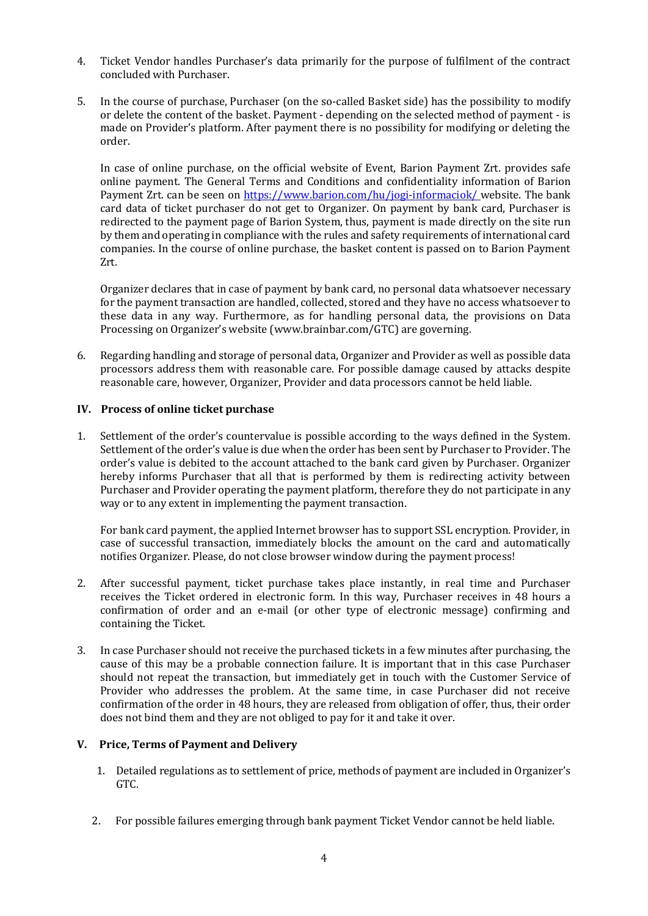- 4. Ticket Vendor handles Purchaser's data primarily for the purpose of fulfilment of the contract concluded with Purchaser.
- 5. In the course of purchase, Purchaser (on the so-called Basket side) has the possibility to modify or delete the content of the basket. Payment - depending on the selected method of payment - is made on Provider's platform. After payment there is no possibility for modifying or deleting the order.

In case of online purchase, on the official website of Event, Barion Payment Zrt. provides safe online payment. The General Terms and Conditions and confidentiality information of Barion Payment Zrt. can be seen on [https://www.barion.com/hu/jogi-informaciok/ w](https://www.barion.com/hu/jogi-informaciok/)ebsite. The bank card data of ticket purchaser do not get to Organizer. On payment by bank card, Purchaser is redirected to the payment page of Barion System, thus, payment is made directly on the site run by them and operating in compliance with the rules and safety requirements of international card companies. In the course of online purchase, the basket content is passed on to Barion Payment Zrt.

Organizer declares that in case of payment by bank card, no personal data whatsoever necessary for the payment transaction are handled, collected, stored and they have no access whatsoever to these data in any way. Furthermore, as for handling personal data, the provisions on Data Processing on Organizer's website (www.brainbar.com/GTC) are governing.

6. Regarding handling and storage of personal data, Organizer and Provider as well as possible data processors address them with reasonable care. For possible damage caused by attacks despite reasonable care, however, Organizer, Provider and data processors cannot be held liable.

## **IV. Process of online ticket purchase**

1. Settlement of the order's countervalue is possible according to the ways defined in the System. Settlement of the order's value is due when the order has been sent by Purchaser to Provider. The order's value is debited to the account attached to the bank card given by Purchaser. Organizer hereby informs Purchaser that all that is performed by them is redirecting activity between Purchaser and Provider operating the payment platform, therefore they do not participate in any way or to any extent in implementing the payment transaction.

For bank card payment, the applied Internet browser has to support SSL encryption. Provider, in case of successful transaction, immediately blocks the amount on the card and automatically notifies Organizer. Please, do not close browser window during the payment process!

- 2. After successful payment, ticket purchase takes place instantly, in real time and Purchaser receives the Ticket ordered in electronic form. In this way, Purchaser receives in 48 hours a confirmation of order and an e-mail (or other type of electronic message) confirming and containing the Ticket.
- 3. In case Purchaser should not receive the purchased tickets in a few minutes after purchasing, the cause of this may be a probable connection failure. It is important that in this case Purchaser should not repeat the transaction, but immediately get in touch with the Customer Service of Provider who addresses the problem. At the same time, in case Purchaser did not receive confirmation of the order in 48 hours, they are released from obligation of offer, thus, their order does not bind them and they are not obliged to pay for it and take it over.

### **V. Price, Terms of Payment and Delivery**

- 1. Detailed regulations as to settlement of price, methods of payment are included in Organizer's GTC.
- 2. For possible failures emerging through bank payment Ticket Vendor cannot be held liable.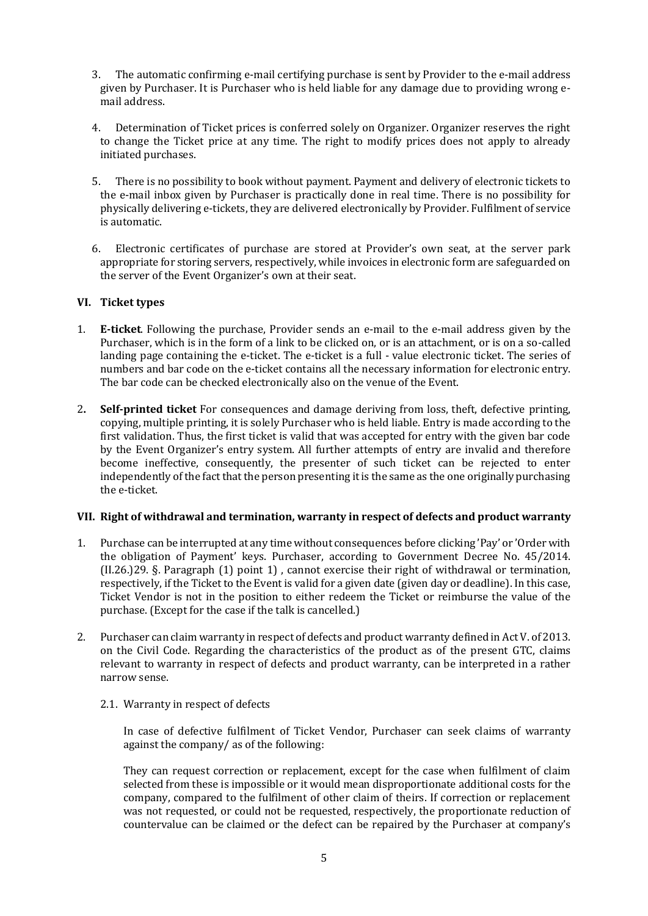- 3. The automatic confirming e-mail certifying purchase is sent by Provider to the e-mail address given by Purchaser. It is Purchaser who is held liable for any damage due to providing wrong email address.
- 4. Determination of Ticket prices is conferred solely on Organizer. Organizer reserves the right to change the Ticket price at any time. The right to modify prices does not apply to already initiated purchases.
- 5. There is no possibility to book without payment. Payment and delivery of electronic tickets to the e-mail inbox given by Purchaser is practically done in real time. There is no possibility for physically delivering e-tickets, they are delivered electronically by Provider. Fulfilment of service is automatic.
- 6. Electronic certificates of purchase are stored at Provider's own seat, at the server park appropriate for storing servers, respectively, while invoices in electronic form are safeguarded on the server of the Event Organizer's own at their seat.

## **VI. Ticket types**

- 1. **E-ticket**. Following the purchase, Provider sends an e-mail to the e-mail address given by the Purchaser, which is in the form of a link to be clicked on, or is an attachment, or is on a so-called landing page containing the e-ticket. The e-ticket is a full - value electronic ticket. The series of numbers and bar code on the e-ticket contains all the necessary information for electronic entry. The bar code can be checked electronically also on the venue of the Event.
- 2**. Self-printed ticket** For consequences and damage deriving from loss, theft, defective printing, copying, multiple printing, it is solely Purchaser who is held liable. Entry is made according to the first validation. Thus, the first ticket is valid that was accepted for entry with the given bar code by the Event Organizer's entry system. All further attempts of entry are invalid and therefore become ineffective, consequently, the presenter of such ticket can be rejected to enter independently of the fact that the person presenting it is the same as the one originally purchasing the e-ticket.

### **VII. Right of withdrawal and termination, warranty in respect of defects and product warranty**

- 1. Purchase can be interrupted at any time without consequences before clicking 'Pay' or 'Order with the obligation of Payment' keys. Purchaser, according to Government Decree No. 45/2014. (II.26.)29. §. Paragraph (1) point 1) , cannot exercise their right of withdrawal or termination, respectively, if the Ticket to the Event is valid for a given date (given day or deadline). In this case, Ticket Vendor is not in the position to either redeem the Ticket or reimburse the value of the purchase. (Except for the case if the talk is cancelled.)
- 2. Purchaser can claim warranty in respect of defects and product warranty defined in Act V. of 2013. on the Civil Code. Regarding the characteristics of the product as of the present GTC, claims relevant to warranty in respect of defects and product warranty, can be interpreted in a rather narrow sense.
	- 2.1. Warranty in respect of defects

In case of defective fulfilment of Ticket Vendor, Purchaser can seek claims of warranty against the company/ as of the following:

They can request correction or replacement, except for the case when fulfilment of claim selected from these is impossible or it would mean disproportionate additional costs for the company, compared to the fulfilment of other claim of theirs. If correction or replacement was not requested, or could not be requested, respectively, the proportionate reduction of countervalue can be claimed or the defect can be repaired by the Purchaser at company's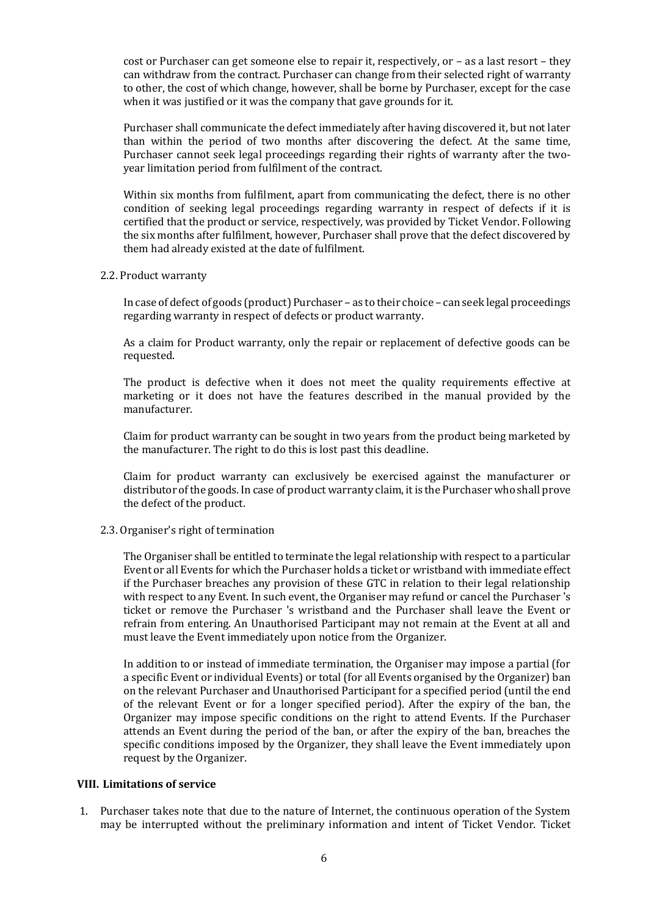cost or Purchaser can get someone else to repair it, respectively, or – as a last resort – they can withdraw from the contract. Purchaser can change from their selected right of warranty to other, the cost of which change, however, shall be borne by Purchaser, except for the case when it was justified or it was the company that gave grounds for it.

Purchaser shall communicate the defect immediately after having discovered it, but not later than within the period of two months after discovering the defect. At the same time, Purchaser cannot seek legal proceedings regarding their rights of warranty after the twoyear limitation period from fulfilment of the contract.

Within six months from fulfilment, apart from communicating the defect, there is no other condition of seeking legal proceedings regarding warranty in respect of defects if it is certified that the product or service, respectively, was provided by Ticket Vendor. Following the six months after fulfilment, however, Purchaser shall prove that the defect discovered by them had already existed at the date of fulfilment.

#### 2.2. Product warranty

In case of defect of goods (product) Purchaser – as to their choice – can seek legal proceedings regarding warranty in respect of defects or product warranty.

As a claim for Product warranty, only the repair or replacement of defective goods can be requested.

The product is defective when it does not meet the quality requirements effective at marketing or it does not have the features described in the manual provided by the manufacturer.

Claim for product warranty can be sought in two years from the product being marketed by the manufacturer. The right to do this is lost past this deadline.

Claim for product warranty can exclusively be exercised against the manufacturer or distributor of the goods. In case of product warranty claim, it is the Purchaser who shall prove the defect of the product.

### 2.3. Organiser's right of termination

The Organiser shall be entitled to terminate the legal relationship with respect to a particular Event or all Events for which the Purchaser holds a ticket or wristband with immediate effect if the Purchaser breaches any provision of these GTC in relation to their legal relationship with respect to any Event. In such event, the Organiser may refund or cancel the Purchaser 's ticket or remove the Purchaser 's wristband and the Purchaser shall leave the Event or refrain from entering. An Unauthorised Participant may not remain at the Event at all and must leave the Event immediately upon notice from the Organizer.

In addition to or instead of immediate termination, the Organiser may impose a partial (for a specific Event or individual Events) or total (for all Events organised by the Organizer) ban on the relevant Purchaser and Unauthorised Participant for a specified period (until the end of the relevant Event or for a longer specified period). After the expiry of the ban, the Organizer may impose specific conditions on the right to attend Events. If the Purchaser attends an Event during the period of the ban, or after the expiry of the ban, breaches the specific conditions imposed by the Organizer, they shall leave the Event immediately upon request by the Organizer.

### **VIII. Limitations of service**

1. Purchaser takes note that due to the nature of Internet, the continuous operation of the System may be interrupted without the preliminary information and intent of Ticket Vendor. Ticket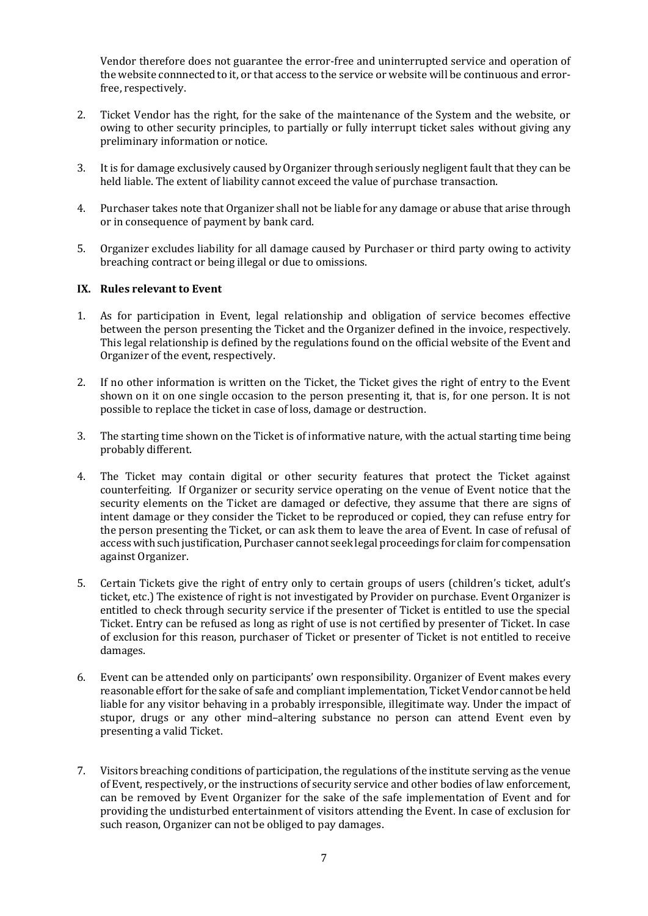Vendor therefore does not guarantee the error-free and uninterrupted service and operation of the website connnected to it, or that access to the service or website will be continuous and errorfree, respectively.

- 2. Ticket Vendor has the right, for the sake of the maintenance of the System and the website, or owing to other security principles, to partially or fully interrupt ticket sales without giving any preliminary information or notice.
- 3. It is for damage exclusively caused by Organizer through seriously negligent fault that they can be held liable. The extent of liability cannot exceed the value of purchase transaction.
- 4. Purchaser takes note that Organizer shall not be liable for any damage or abuse that arise through or in consequence of payment by bank card.
- 5. Organizer excludes liability for all damage caused by Purchaser or third party owing to activity breaching contract or being illegal or due to omissions.

### **IX. Rules relevant to Event**

- 1. As for participation in Event, legal relationship and obligation of service becomes effective between the person presenting the Ticket and the Organizer defined in the invoice, respectively. This legal relationship is defined by the regulations found on the official website of the Event and Organizer of the event, respectively.
- 2. If no other information is written on the Ticket, the Ticket gives the right of entry to the Event shown on it on one single occasion to the person presenting it, that is, for one person. It is not possible to replace the ticket in case of loss, damage or destruction.
- 3. The starting time shown on the Ticket is of informative nature, with the actual starting time being probably different.
- 4. The Ticket may contain digital or other security features that protect the Ticket against counterfeiting. If Organizer or security service operating on the venue of Event notice that the security elements on the Ticket are damaged or defective, they assume that there are signs of intent damage or they consider the Ticket to be reproduced or copied, they can refuse entry for the person presenting the Ticket, or can ask them to leave the area of Event. In case of refusal of access with such justification, Purchaser cannot seek legal proceedings for claim for compensation against Organizer.
- 5. Certain Tickets give the right of entry only to certain groups of users (children's ticket, adult's ticket, etc.) The existence of right is not investigated by Provider on purchase. Event Organizer is entitled to check through security service if the presenter of Ticket is entitled to use the special Ticket. Entry can be refused as long as right of use is not certified by presenter of Ticket. In case of exclusion for this reason, purchaser of Ticket or presenter of Ticket is not entitled to receive damages.
- 6. Event can be attended only on participants' own responsibility. Organizer of Event makes every reasonable effortfor the sake of safe and compliant implementation, Ticket Vendor cannot be held liable for any visitor behaving in a probably irresponsible, illegitimate way. Under the impact of stupor, drugs or any other mind–altering substance no person can attend Event even by presenting a valid Ticket.
- 7. Visitors breaching conditions of participation, the regulations of the institute serving as the venue of Event, respectively, or the instructions of security service and other bodies of law enforcement, can be removed by Event Organizer for the sake of the safe implementation of Event and for providing the undisturbed entertainment of visitors attending the Event. In case of exclusion for such reason, Organizer can not be obliged to pay damages.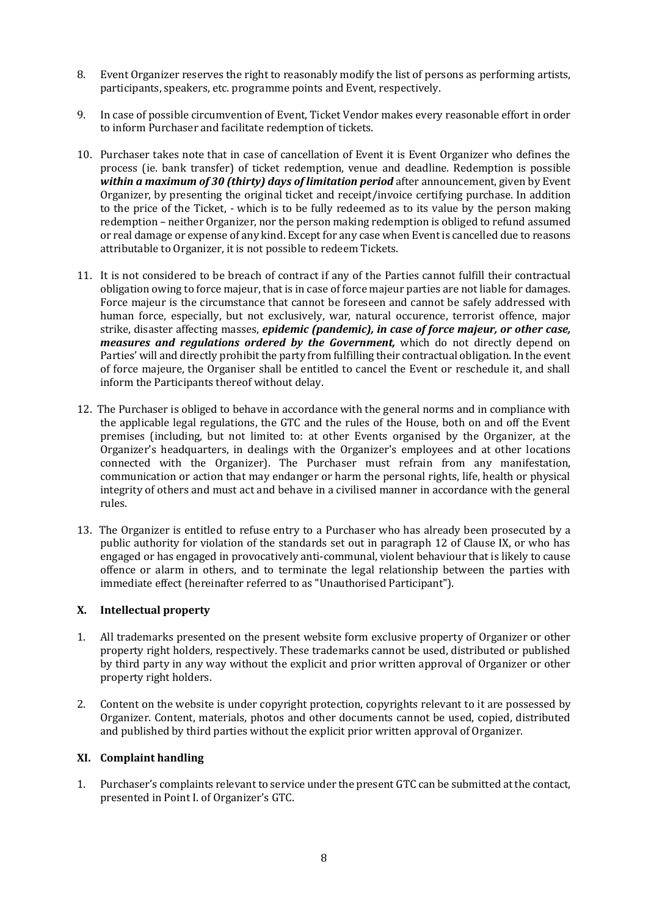- 8. Event Organizer reserves the right to reasonably modify the list of persons as performing artists, participants, speakers, etc. programme points and Event, respectively.
- 9. In case of possible circumvention of Event, Ticket Vendor makes every reasonable effort in order to inform Purchaser and facilitate redemption of tickets.
- 10. Purchaser takes note that in case of cancellation of Event it is Event Organizer who defines the process (ie. bank transfer) of ticket redemption, venue and deadline. Redemption is possible *within a maximum of 30 (thirty) days of limitation period* after announcement, given by Event Organizer, by presenting the original ticket and receipt/invoice certifying purchase. In addition to the price of the Ticket, - which is to be fully redeemed as to its value by the person making redemption – neither Organizer, nor the person making redemption is obliged to refund assumed or real damage or expense of any kind. Except for any case when Event is cancelled due to reasons attributable to Organizer, it is not possible to redeem Tickets.
- 11. It is not considered to be breach of contract if any of the Parties cannot fulfill their contractual obligation owing to force majeur, that is in case of force majeur parties are not liable for damages. Force majeur is the circumstance that cannot be foreseen and cannot be safely addressed with human force, especially, but not exclusively, war, natural occurence, terrorist offence, major strike, disaster affecting masses, *epidemic (pandemic), in case of force majeur, or other case, measures and regulations ordered by the Government,* which do not directly depend on Parties' will and directly prohibit the party from fulfilling their contractual obligation. In the event of force majeure, the Organiser shall be entitled to cancel the Event or reschedule it, and shall inform the Participants thereof without delay.
- 12. The Purchaser is obliged to behave in accordance with the general norms and in compliance with the applicable legal regulations, the GTC and the rules of the House, both on and off the Event premises (including, but not limited to: at other Events organised by the Organizer, at the Organizer's headquarters, in dealings with the Organizer's employees and at other locations connected with the Organizer). The Purchaser must refrain from any manifestation, communication or action that may endanger or harm the personal rights, life, health or physical integrity of others and must act and behave in a civilised manner in accordance with the general rules.
- 13. The Organizer is entitled to refuse entry to a Purchaser who has already been prosecuted by a public authority for violation of the standards set out in paragraph 12 of Clause IX, or who has engaged or has engaged in provocatively anti-communal, violent behaviour that is likely to cause offence or alarm in others, and to terminate the legal relationship between the parties with immediate effect (hereinafter referred to as "Unauthorised Participant").

# **X. Intellectual property**

- 1. All trademarks presented on the present website form exclusive property of Organizer or other property right holders, respectively. These trademarks cannot be used, distributed or published by third party in any way without the explicit and prior written approval of Organizer or other property right holders.
- 2. Content on the website is under copyright protection, copyrights relevant to it are possessed by Organizer. Content, materials, photos and other documents cannot be used, copied, distributed and published by third parties without the explicit prior written approval of Organizer.

### **XI. Complaint handling**

1. Purchaser's complaints relevant to service under the present GTC can be submitted at the contact, presented in Point I. of Organizer's GTC.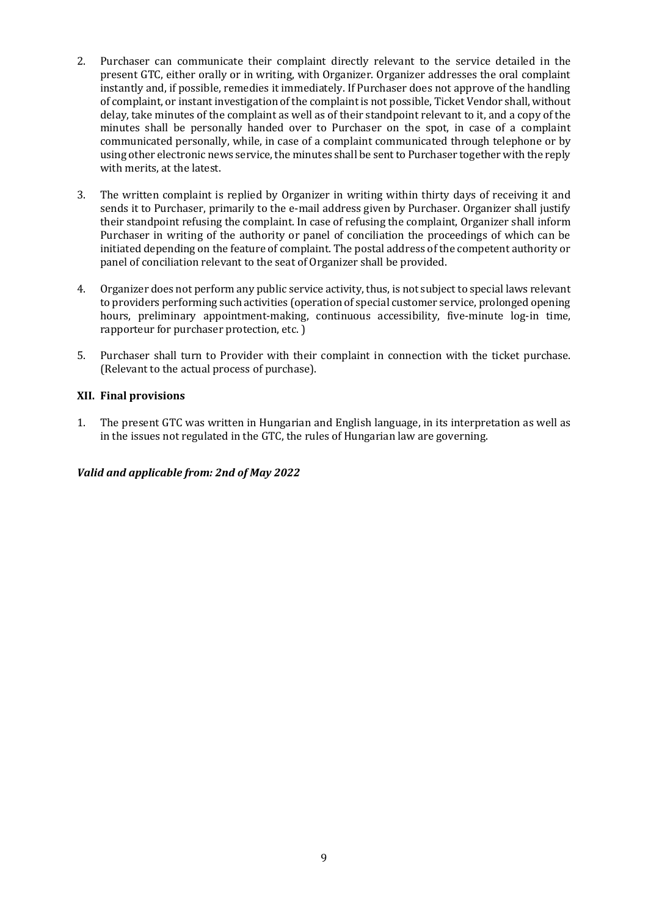- 2. Purchaser can communicate their complaint directly relevant to the service detailed in the present GTC, either orally or in writing, with Organizer. Organizer addresses the oral complaint instantly and, if possible, remedies it immediately. If Purchaser does not approve of the handling of complaint, or instant investigation of the complaint is not possible, Ticket Vendor shall, without delay, take minutes of the complaint as well as of their standpoint relevant to it, and a copy of the minutes shall be personally handed over to Purchaser on the spot, in case of a complaint communicated personally, while, in case of a complaint communicated through telephone or by using other electronic news service, the minutes shall be sent to Purchaser together with the reply with merits, at the latest.
- 3. The written complaint is replied by Organizer in writing within thirty days of receiving it and sends it to Purchaser, primarily to the e-mail address given by Purchaser. Organizer shall justify their standpoint refusing the complaint. In case of refusing the complaint, Organizer shall inform Purchaser in writing of the authority or panel of conciliation the proceedings of which can be initiated depending on the feature of complaint. The postal address of the competent authority or panel of conciliation relevant to the seat of Organizer shall be provided.
- 4. Organizer does not perform any public service activity, thus, is not subject to special laws relevant to providers performing such activities (operation of special customer service, prolonged opening hours, preliminary appointment-making, continuous accessibility, five-minute log-in time, rapporteur for purchaser protection, etc. )
- 5. Purchaser shall turn to Provider with their complaint in connection with the ticket purchase. (Relevant to the actual process of purchase).

## **XII. Final provisions**

1. The present GTC was written in Hungarian and English language, in its interpretation as well as in the issues not regulated in the GTC, the rules of Hungarian law are governing.

# *Valid and applicable from: 2nd of May 2022*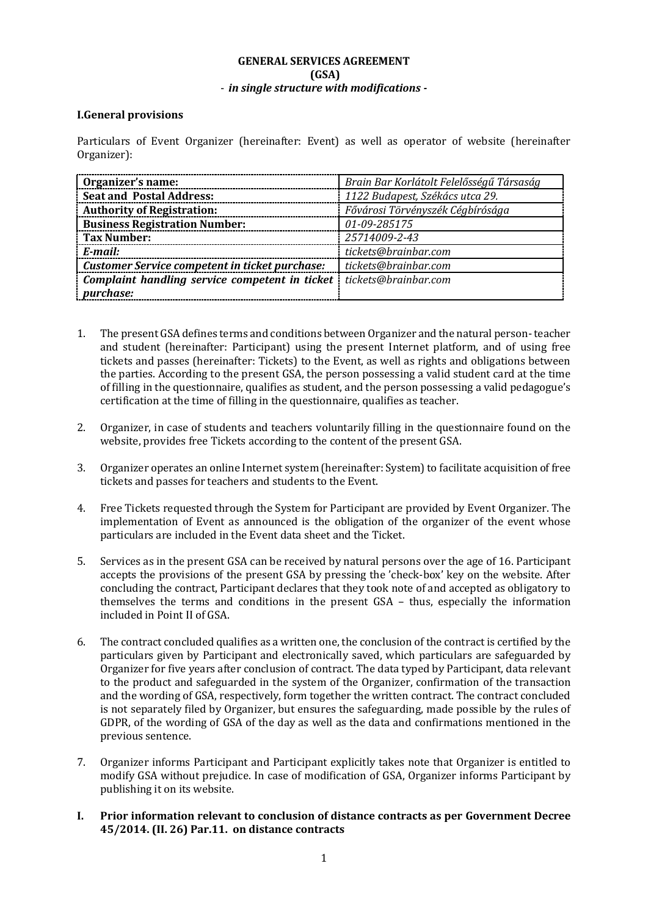# **GENERAL SERVICES AGREEMENT (GSA)** - *in single structure with modifications -*

## **I.General provisions**

Particulars of Event Organizer (hereinafter: Event) as well as operator of website (hereinafter Organizer):

| Organizer's name:                                     | Brain Bar Korlátolt Felelősségű Társaság |
|-------------------------------------------------------|------------------------------------------|
| <b>Seat and Postal Address:</b>                       | 1122 Budapest, Székács utca 29.          |
| <b>Authority of Registration:</b>                     | Fővárosi Törvényszék Cégbírósága         |
| <b>Business Registration Number:</b>                  | 01-09-285175                             |
| Tax Number:                                           | 25714009-2-43                            |
| E-mail:                                               | tickets@brainbar.com                     |
| <b>Customer Service competent in ticket purchase:</b> | tickets@brainbar.com                     |
| Complaint handling service competent in ticket        | tickets@brainbar.com                     |
| <i>purchase:</i>                                      |                                          |

- 1. The present GSA defines terms and conditions between Organizer and the natural person-teacher and student (hereinafter: Participant) using the present Internet platform, and of using free tickets and passes (hereinafter: Tickets) to the Event, as well as rights and obligations between the parties. According to the present GSA, the person possessing a valid student card at the time of filling in the questionnaire, qualifies as student, and the person possessing a valid pedagogue's certification at the time of filling in the questionnaire, qualifies as teacher.
- 2. Organizer, in case of students and teachers voluntarily filling in the questionnaire found on the website, provides free Tickets according to the content of the present GSA.
- 3. Organizer operates an online Internet system (hereinafter: System) to facilitate acquisition of free tickets and passes for teachers and students to the Event.
- 4. Free Tickets requested through the System for Participant are provided by Event Organizer. The implementation of Event as announced is the obligation of the organizer of the event whose particulars are included in the Event data sheet and the Ticket.
- 5. Services as in the present GSA can be received by natural persons over the age of 16. Participant accepts the provisions of the present GSA by pressing the 'check-box' key on the website. After concluding the contract, Participant declares that they took note of and accepted as obligatory to themselves the terms and conditions in the present GSA – thus, especially the information included in Point II of GSA.
- 6. The contract concluded qualifies as a written one, the conclusion of the contract is certified by the particulars given by Participant and electronically saved, which particulars are safeguarded by Organizer for five years after conclusion of contract. The data typed by Participant, data relevant to the product and safeguarded in the system of the Organizer, confirmation of the transaction and the wording of GSA, respectively, form together the written contract. The contract concluded is not separately filed by Organizer, but ensures the safeguarding, made possible by the rules of GDPR, of the wording of GSA of the day as well as the data and confirmations mentioned in the previous sentence.
- 7. Organizer informs Participant and Participant explicitly takes note that Organizer is entitled to modify GSA without prejudice. In case of modification of GSA, Organizer informs Participant by publishing it on its website.
- **I. Prior information relevant to conclusion of distance contracts as per Government Decree 45/2014. (II. 26) Par.11. on distance contracts**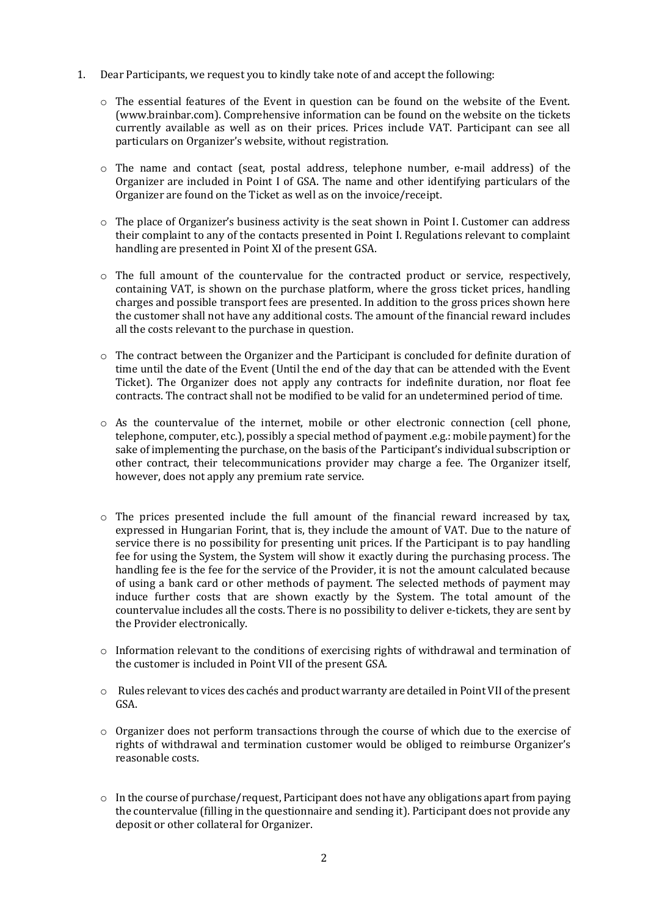- 1. Dear Participants, we request you to kindly take note of and accept the following:
	- o The essential features of the Event in question can be found on the website of the Event. (www.brainbar.com). Comprehensive information can be found on the website on the tickets currently available as well as on their prices. Prices include VAT. Participant can see all particulars on Organizer's website, without registration.
	- $\circ$  The name and contact (seat, postal address, telephone number, e-mail address) of the Organizer are included in Point I of GSA. The name and other identifying particulars of the Organizer are found on the Ticket as well as on the invoice/receipt.
	- $\circ$  The place of Organizer's business activity is the seat shown in Point I. Customer can address their complaint to any of the contacts presented in Point I. Regulations relevant to complaint handling are presented in Point XI of the present GSA.
	- o The full amount of the countervalue for the contracted product or service, respectively, containing VAT, is shown on the purchase platform, where the gross ticket prices, handling charges and possible transport fees are presented. In addition to the gross prices shown here the customer shall not have any additional costs. The amount of the financial reward includes all the costs relevant to the purchase in question.
	- o The contract between the Organizer and the Participant is concluded for definite duration of time until the date of the Event (Until the end of the day that can be attended with the Event Ticket). The Organizer does not apply any contracts for indefinite duration, nor float fee contracts. The contract shall not be modified to be valid for an undetermined period of time.
	- o As the countervalue of the internet, mobile or other electronic connection (cell phone, telephone, computer, etc.), possibly a special method of payment .e.g.: mobile payment) for the sake of implementing the purchase, on the basis of the Participant's individual subscription or other contract, their telecommunications provider may charge a fee. The Organizer itself, however, does not apply any premium rate service.
	- $\circ$  The prices presented include the full amount of the financial reward increased by tax, expressed in Hungarian Forint, that is, they include the amount of VAT. Due to the nature of service there is no possibility for presenting unit prices. If the Participant is to pay handling fee for using the System, the System will show it exactly during the purchasing process. The handling fee is the fee for the service of the Provider, it is not the amount calculated because of using a bank card or other methods of payment. The selected methods of payment may induce further costs that are shown exactly by the System. The total amount of the countervalue includes all the costs. There is no possibility to deliver e-tickets, they are sent by the Provider electronically.
	- $\circ$  Information relevant to the conditions of exercising rights of withdrawal and termination of the customer is included in Point VII of the present GSA.
	- o Rules relevant to vices des cachés and product warranty are detailed in Point VII of the present GSA.
	- o Organizer does not perform transactions through the course of which due to the exercise of rights of withdrawal and termination customer would be obliged to reimburse Organizer's reasonable costs.
	- o In the course of purchase/request, Participant does not have any obligations apart from paying the countervalue (filling in the questionnaire and sending it). Participant does not provide any deposit or other collateral for Organizer.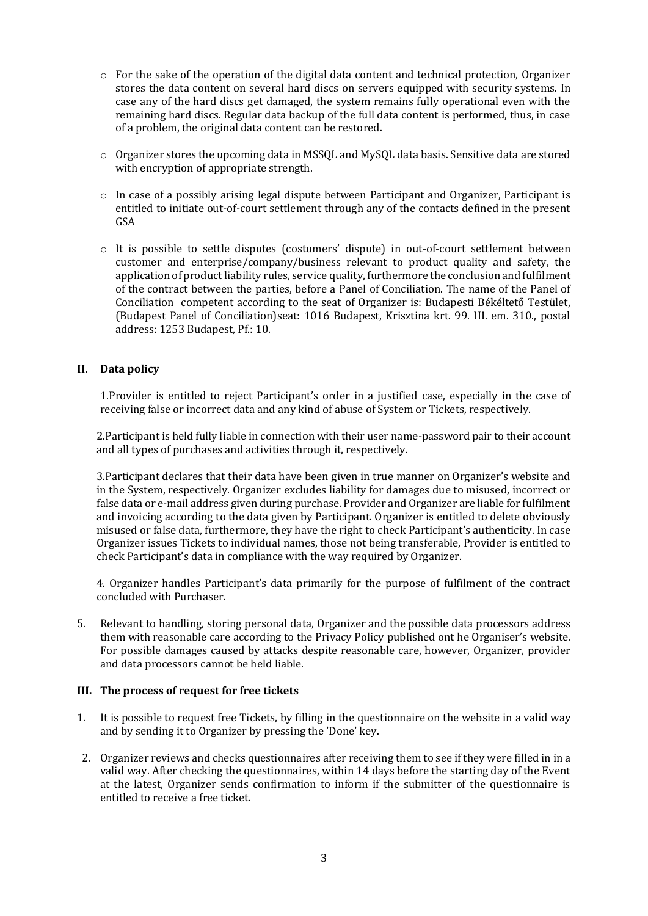- $\circ$  For the sake of the operation of the digital data content and technical protection, Organizer stores the data content on several hard discs on servers equipped with security systems. In case any of the hard discs get damaged, the system remains fully operational even with the remaining hard discs. Regular data backup of the full data content is performed, thus, in case of a problem, the original data content can be restored.
- o Organizer stores the upcoming data in MSSQL and MySQL data basis. Sensitive data are stored with encryption of appropriate strength.
- $\circ$  In case of a possibly arising legal dispute between Participant and Organizer, Participant is entitled to initiate out-of-court settlement through any of the contacts defined in the present GSA
- o It is possible to settle disputes (costumers' dispute) in out-of-court settlement between customer and enterprise/company/business relevant to product quality and safety, the application of product liability rules, service quality, furthermore the conclusion and fulfilment of the contract between the parties, before a Panel of Conciliation. The name of the Panel of Conciliation competent according to the seat of Organizer is: Budapesti Békéltető Testület, (Budapest Panel of Conciliation)seat: 1016 Budapest, Krisztina krt. 99. III. em. 310., postal address: 1253 Budapest, Pf.: 10.

### **II. Data policy**

1.Provider is entitled to reject Participant's order in a justified case, especially in the case of receiving false or incorrect data and any kind of abuse of System or Tickets, respectively.

2.Participant is held fully liable in connection with their user name-password pair to their account and all types of purchases and activities through it, respectively.

3.Participant declares that their data have been given in true manner on Organizer's website and in the System, respectively. Organizer excludes liability for damages due to misused, incorrect or false data or e-mail address given during purchase. Provider and Organizer are liable for fulfilment and invoicing according to the data given by Participant. Organizer is entitled to delete obviously misused or false data, furthermore, they have the right to check Participant's authenticity. In case Organizer issues Tickets to individual names, those not being transferable, Provider is entitled to check Participant's data in compliance with the way required by Organizer.

4. Organizer handles Participant's data primarily for the purpose of fulfilment of the contract concluded with Purchaser.

5. Relevant to handling, storing personal data, Organizer and the possible data processors address them with reasonable care according to the Privacy Policy published ont he Organiser's website. For possible damages caused by attacks despite reasonable care, however, Organizer, provider and data processors cannot be held liable.

### **III. The process of request for free tickets**

- 1. It is possible to request free Tickets, by filling in the questionnaire on the website in a valid way and by sending it to Organizer by pressing the 'Done' key.
- 2. Organizer reviews and checks questionnaires after receiving them to see if they were filled in in a valid way. After checking the questionnaires, within 14 days before the starting day of the Event at the latest, Organizer sends confirmation to inform if the submitter of the questionnaire is entitled to receive a free ticket.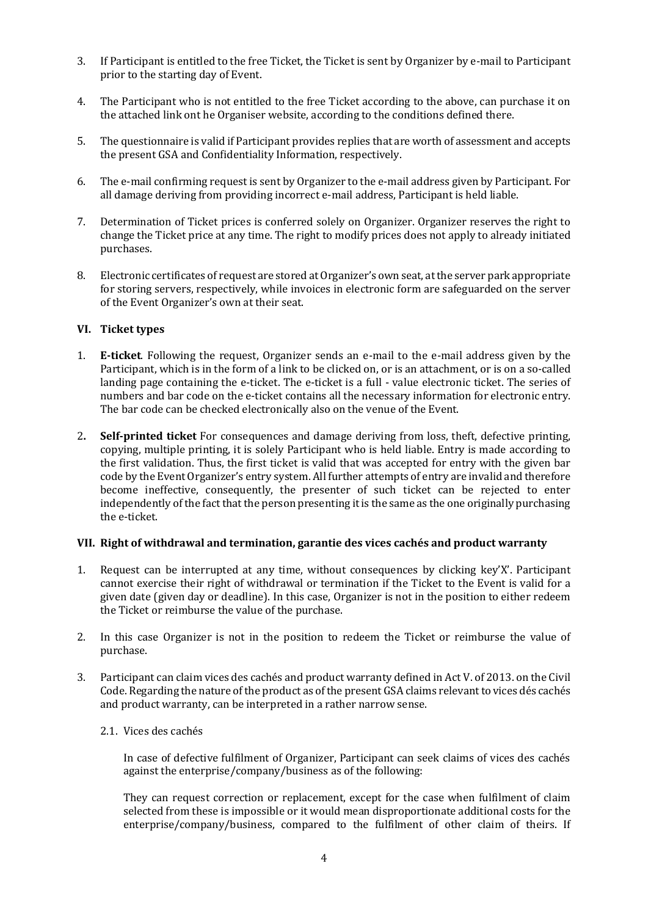- 3. If Participant is entitled to the free Ticket, the Ticket is sent by Organizer by e-mail to Participant prior to the starting day of Event.
- 4. The Participant who is not entitled to the free Ticket according to the above, can purchase it on the attached link ont he Organiser website, according to the conditions defined there.
- 5. The questionnaire is valid if Participant provides replies that are worth of assessment and accepts the present GSA and Confidentiality Information, respectively.
- 6. The e-mail confirming request is sent by Organizer to the e-mail address given by Participant. For all damage deriving from providing incorrect e-mail address, Participant is held liable.
- 7. Determination of Ticket prices is conferred solely on Organizer. Organizer reserves the right to change the Ticket price at any time. The right to modify prices does not apply to already initiated purchases.
- 8. Electronic certificates of request are stored at Organizer's own seat, at the server park appropriate for storing servers, respectively, while invoices in electronic form are safeguarded on the server of the Event Organizer's own at their seat.

### **VI. Ticket types**

- 1. **E-ticket**. Following the request, Organizer sends an e-mail to the e-mail address given by the Participant, which is in the form of a link to be clicked on, or is an attachment, or is on a so-called landing page containing the e-ticket. The e-ticket is a full - value electronic ticket. The series of numbers and bar code on the e-ticket contains all the necessary information for electronic entry. The bar code can be checked electronically also on the venue of the Event.
- 2**. Self-printed ticket** For consequences and damage deriving from loss, theft, defective printing, copying, multiple printing, it is solely Participant who is held liable. Entry is made according to the first validation. Thus, the first ticket is valid that was accepted for entry with the given bar code by the Event Organizer's entry system. All further attempts of entry are invalid and therefore become ineffective, consequently, the presenter of such ticket can be rejected to enter independently of the fact that the person presenting it is the same as the one originally purchasing the e-ticket.

#### **VII. Right of withdrawal and termination, garantie des vices cachés and product warranty**

- 1. Request can be interrupted at any time, without consequences by clicking key'X'. Participant cannot exercise their right of withdrawal or termination if the Ticket to the Event is valid for a given date (given day or deadline). In this case, Organizer is not in the position to either redeem the Ticket or reimburse the value of the purchase.
- 2. In this case Organizer is not in the position to redeem the Ticket or reimburse the value of purchase.
- 3. Participant can claim vices des cachés and product warranty defined in Act V. of 2013. on the Civil Code. Regarding the nature ofthe product as of the present GSA claims relevant to vices dés cachés and product warranty, can be interpreted in a rather narrow sense.
	- 2.1. Vices des cachés

In case of defective fulfilment of Organizer, Participant can seek claims of vices des cachés against the enterprise/company/business as of the following:

They can request correction or replacement, except for the case when fulfilment of claim selected from these is impossible or it would mean disproportionate additional costs for the enterprise/company/business, compared to the fulfilment of other claim of theirs. If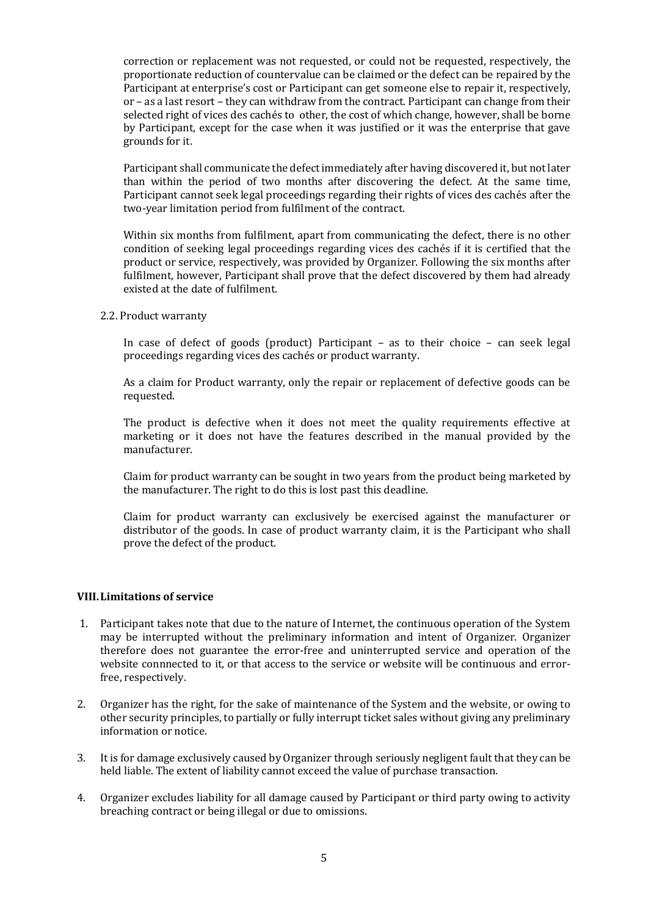correction or replacement was not requested, or could not be requested, respectively, the proportionate reduction of countervalue can be claimed or the defect can be repaired by the Participant at enterprise's cost or Participant can get someone else to repair it, respectively, or – as a last resort – they can withdraw from the contract. Participant can change from their selected right of vices des cachés to other, the cost of which change, however, shall be borne by Participant, except for the case when it was justified or it was the enterprise that gave grounds for it.

Participant shall communicate the defect immediately after having discovered it, but not later than within the period of two months after discovering the defect. At the same time, Participant cannot seek legal proceedings regarding their rights of vices des cachés after the two-year limitation period from fulfilment of the contract.

Within six months from fulfilment, apart from communicating the defect, there is no other condition of seeking legal proceedings regarding vices des cachés if it is certified that the product or service, respectively, was provided by Organizer. Following the six months after fulfilment, however, Participant shall prove that the defect discovered by them had already existed at the date of fulfilment.

2.2. Product warranty

In case of defect of goods (product) Participant – as to their choice – can seek legal proceedings regarding vices des cachés or product warranty.

As a claim for Product warranty, only the repair or replacement of defective goods can be requested.

The product is defective when it does not meet the quality requirements effective at marketing or it does not have the features described in the manual provided by the manufacturer.

Claim for product warranty can be sought in two years from the product being marketed by the manufacturer. The right to do this is lost past this deadline.

Claim for product warranty can exclusively be exercised against the manufacturer or distributor of the goods. In case of product warranty claim, it is the Participant who shall prove the defect of the product.

### **VIII.Limitations of service**

- 1. Participant takes note that due to the nature of Internet, the continuous operation of the System may be interrupted without the preliminary information and intent of Organizer. Organizer therefore does not guarantee the error-free and uninterrupted service and operation of the website connnected to it, or that access to the service or website will be continuous and errorfree, respectively.
- 2. Organizer has the right, for the sake of maintenance of the System and the website, or owing to other security principles, to partially or fully interrupt ticket sales without giving any preliminary information or notice.
- 3. It is for damage exclusively caused by Organizer through seriously negligent fault that they can be held liable. The extent of liability cannot exceed the value of purchase transaction.
- 4. Organizer excludes liability for all damage caused by Participant or third party owing to activity breaching contract or being illegal or due to omissions.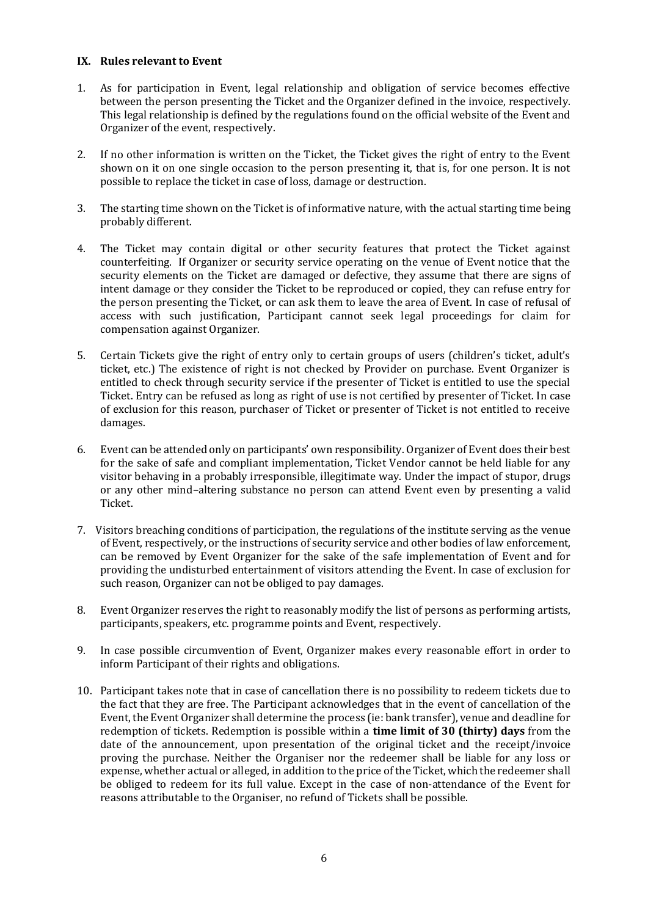### **IX. Rules relevant to Event**

- 1. As for participation in Event, legal relationship and obligation of service becomes effective between the person presenting the Ticket and the Organizer defined in the invoice, respectively. This legal relationship is defined by the regulations found on the official website of the Event and Organizer of the event, respectively.
- 2. If no other information is written on the Ticket, the Ticket gives the right of entry to the Event shown on it on one single occasion to the person presenting it, that is, for one person. It is not possible to replace the ticket in case of loss, damage or destruction.
- 3. The starting time shown on the Ticket is of informative nature, with the actual starting time being probably different.
- 4. The Ticket may contain digital or other security features that protect the Ticket against counterfeiting. If Organizer or security service operating on the venue of Event notice that the security elements on the Ticket are damaged or defective, they assume that there are signs of intent damage or they consider the Ticket to be reproduced or copied, they can refuse entry for the person presenting the Ticket, or can ask them to leave the area of Event. In case of refusal of access with such justification, Participant cannot seek legal proceedings for claim for compensation against Organizer.
- 5. Certain Tickets give the right of entry only to certain groups of users (children's ticket, adult's ticket, etc.) The existence of right is not checked by Provider on purchase. Event Organizer is entitled to check through security service if the presenter of Ticket is entitled to use the special Ticket. Entry can be refused as long as right of use is not certified by presenter of Ticket. In case of exclusion for this reason, purchaser of Ticket or presenter of Ticket is not entitled to receive damages.
- 6. Event can be attended only on participants' own responsibility. Organizer of Event does their best for the sake of safe and compliant implementation, Ticket Vendor cannot be held liable for any visitor behaving in a probably irresponsible, illegitimate way. Under the impact of stupor, drugs or any other mind–altering substance no person can attend Event even by presenting a valid Ticket.
- 7. Visitors breaching conditions of participation, the regulations of the institute serving as the venue of Event, respectively, or the instructions of security service and other bodies of law enforcement, can be removed by Event Organizer for the sake of the safe implementation of Event and for providing the undisturbed entertainment of visitors attending the Event. In case of exclusion for such reason, Organizer can not be obliged to pay damages.
- 8. Event Organizer reserves the right to reasonably modify the list of persons as performing artists, participants, speakers, etc. programme points and Event, respectively.
- 9. In case possible circumvention of Event, Organizer makes every reasonable effort in order to inform Participant of their rights and obligations.
- 10. Participant takes note that in case of cancellation there is no possibility to redeem tickets due to the fact that they are free. The Participant acknowledges that in the event of cancellation of the Event, the Event Organizer shall determine the process (ie: bank transfer), venue and deadline for redemption of tickets. Redemption is possible within a **time limit of 30 (thirty) days** from the date of the announcement, upon presentation of the original ticket and the receipt/invoice proving the purchase. Neither the Organiser nor the redeemer shall be liable for any loss or expense, whether actual or alleged, in addition to the price of the Ticket, which the redeemer shall be obliged to redeem for its full value. Except in the case of non-attendance of the Event for reasons attributable to the Organiser, no refund of Tickets shall be possible.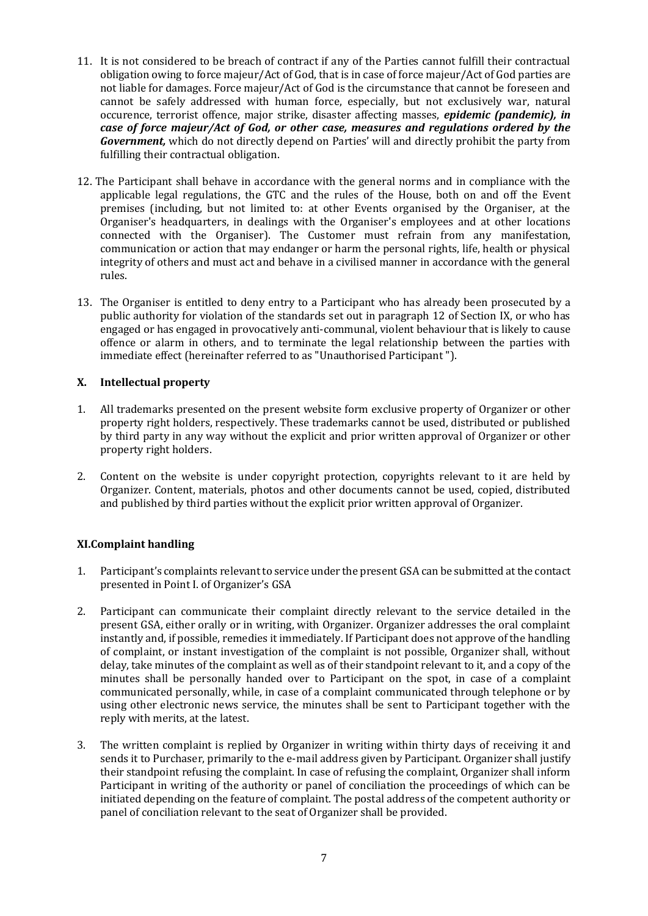- 11. It is not considered to be breach of contract if any of the Parties cannot fulfill their contractual obligation owing to force majeur/Act of God, that is in case of force majeur/Act of God parties are not liable for damages. Force majeur/Act of God is the circumstance that cannot be foreseen and cannot be safely addressed with human force, especially, but not exclusively war, natural occurence, terrorist offence, major strike, disaster affecting masses, *epidemic (pandemic), in case of force majeur/Act of God, or other case, measures and regulations ordered by the Government,* which do not directly depend on Parties' will and directly prohibit the party from fulfilling their contractual obligation.
- 12. The Participant shall behave in accordance with the general norms and in compliance with the applicable legal regulations, the GTC and the rules of the House, both on and off the Event premises (including, but not limited to: at other Events organised by the Organiser, at the Organiser's headquarters, in dealings with the Organiser's employees and at other locations connected with the Organiser). The Customer must refrain from any manifestation, communication or action that may endanger or harm the personal rights, life, health or physical integrity of others and must act and behave in a civilised manner in accordance with the general rules.
- 13. The Organiser is entitled to deny entry to a Participant who has already been prosecuted by a public authority for violation of the standards set out in paragraph 12 of Section IX, or who has engaged or has engaged in provocatively anti-communal, violent behaviour that is likely to cause offence or alarm in others, and to terminate the legal relationship between the parties with immediate effect (hereinafter referred to as "Unauthorised Participant ").

## **X. Intellectual property**

- 1. All trademarks presented on the present website form exclusive property of Organizer or other property right holders, respectively. These trademarks cannot be used, distributed or published by third party in any way without the explicit and prior written approval of Organizer or other property right holders.
- 2. Content on the website is under copyright protection, copyrights relevant to it are held by Organizer. Content, materials, photos and other documents cannot be used, copied, distributed and published by third parties without the explicit prior written approval of Organizer.

# **XI.Complaint handling**

- 1. Participant's complaints relevant to service under the present GSA can be submitted at the contact presented in Point I. of Organizer's GSA
- 2. Participant can communicate their complaint directly relevant to the service detailed in the present GSA, either orally or in writing, with Organizer. Organizer addresses the oral complaint instantly and, if possible, remedies it immediately. If Participant does not approve of the handling of complaint, or instant investigation of the complaint is not possible, Organizer shall, without delay, take minutes of the complaint as well as of their standpoint relevant to it, and a copy of the minutes shall be personally handed over to Participant on the spot, in case of a complaint communicated personally, while, in case of a complaint communicated through telephone or by using other electronic news service, the minutes shall be sent to Participant together with the reply with merits, at the latest.
- 3. The written complaint is replied by Organizer in writing within thirty days of receiving it and sends it to Purchaser, primarily to the e-mail address given by Participant. Organizer shall justify their standpoint refusing the complaint. In case of refusing the complaint, Organizer shall inform Participant in writing of the authority or panel of conciliation the proceedings of which can be initiated depending on the feature of complaint. The postal address of the competent authority or panel of conciliation relevant to the seat of Organizer shall be provided.